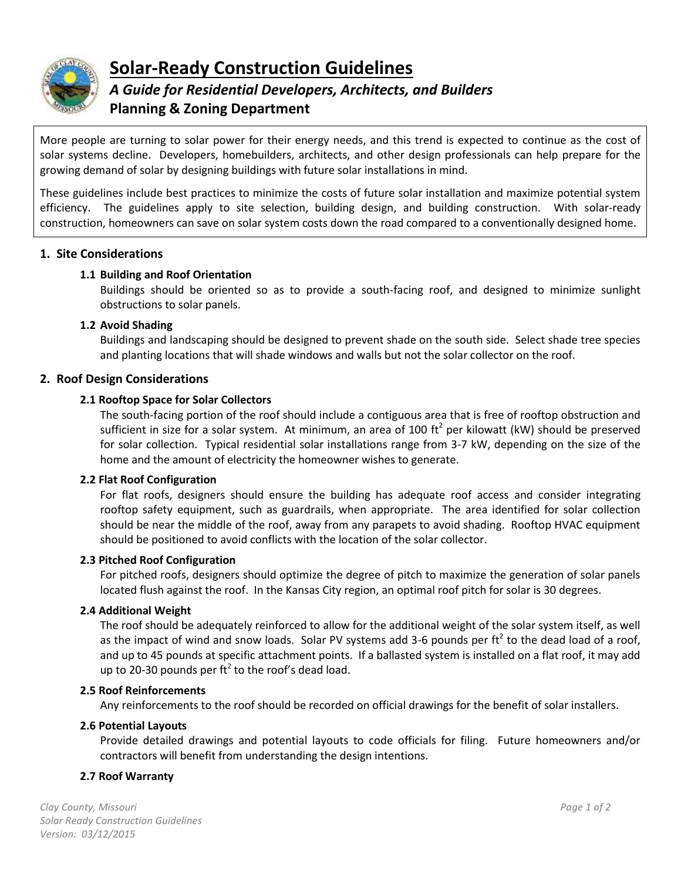

# **Solar-Ready Construction Guidelines**

## *A Guide for Residential Developers, Architects, and Builders* **Planning & Zoning Department**

More people are turning to solar power for their energy needs, and this trend is expected to continue as the cost of solar systems decline. Developers, homebuilders, architects, and other design professionals can help prepare for the growing demand of solar by designing buildings with future solar installations in mind.

These guidelines include best practices to minimize the costs of future solar installation and maximize potential system efficiency. The guidelines apply to site selection, building design, and building construction. With solar-ready construction, homeowners can save on solar system costs down the road compared to a conventionally designed home.

## **1. Site Considerations**

## **1.1 Building and Roof Orientation**

Buildings should be oriented so as to provide a south-facing roof, and designed to minimize sunlight obstructions to solar panels.

## **1.2 Avoid Shading**

Buildings and landscaping should be designed to prevent shade on the south side. Select shade tree species and planting locations that will shade windows and walls but not the solar collector on the roof.

## **2. Roof Design Considerations**

## **2.1 Rooftop Space for Solar Collectors**

The south-facing portion of the roof should include a contiguous area that is free of rooftop obstruction and sufficient in size for a solar system. At minimum, an area of 100 ft<sup>2</sup> per kilowatt (kW) should be preserved for solar collection. Typical residential solar installations range from 3-7 kW, depending on the size of the home and the amount of electricity the homeowner wishes to generate.

## **2.2 Flat Roof Configuration**

For flat roofs, designers should ensure the building has adequate roof access and consider integrating rooftop safety equipment, such as guardrails, when appropriate. The area identified for solar collection should be near the middle of the roof, away from any parapets to avoid shading. Rooftop HVAC equipment should be positioned to avoid conflicts with the location of the solar collector.

## **2.3 Pitched Roof Configuration**

For pitched roofs, designers should optimize the degree of pitch to maximize the generation of solar panels located flush against the roof. In the Kansas City region, an optimal roof pitch for solar is 30 degrees.

## **2.4 Additional Weight**

The roof should be adequately reinforced to allow for the additional weight of the solar system itself, as well as the impact of wind and snow loads. Solar PV systems add 3-6 pounds per ft<sup>2</sup> to the dead load of a roof, and up to 45 pounds at specific attachment points. If a ballasted system is installed on a flat roof, it may add up to 20-30 pounds per ft<sup>2</sup> to the roof's dead load.

#### **2.5 Roof Reinforcements**

Any reinforcements to the roof should be recorded on official drawings for the benefit of solar installers.

## **2.6 Potential Layouts**

Provide detailed drawings and potential layouts to code officials for filing. Future homeowners and/or contractors will benefit from understanding the design intentions.

## **2.7 Roof Warranty**